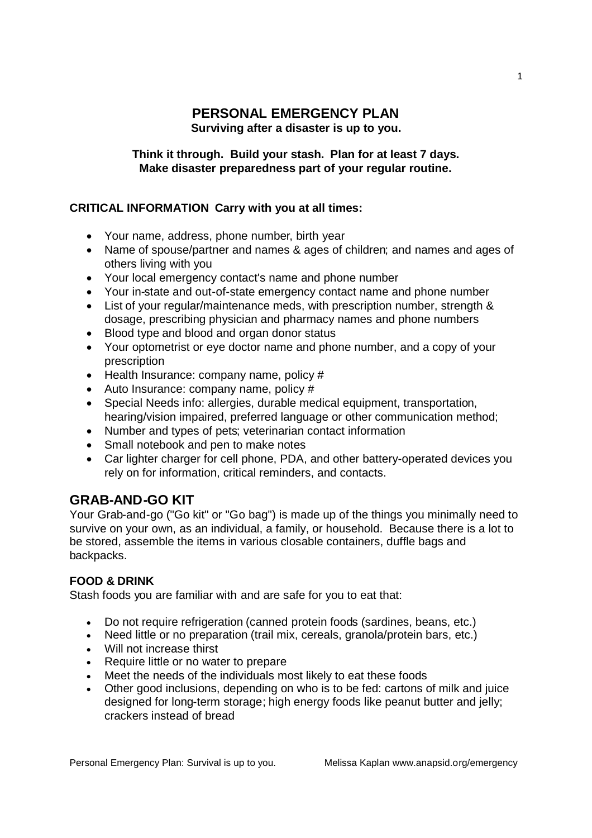### **PERSONAL EMERGENCY PLAN Surviving after a disaster is up to you.**

**Think it through. Build your stash. Plan for at least 7 days. Make disaster preparedness part of your regular routine.**

#### **CRITICAL INFORMATION Carry with you at all times:**

- Your name, address, phone number, birth year
- Name of spouse/partner and names & ages of children; and names and ages of others living with you
- Your local emergency contact's name and phone number
- Your in-state and out-of-state emergency contact name and phone number
- List of your regular/maintenance meds, with prescription number, strength & dosage, prescribing physician and pharmacy names and phone numbers
- Blood type and blood and organ donor status
- Your optometrist or eye doctor name and phone number, and a copy of your prescription
- $\bullet$  Health Insurance: company name, policy #
- Auto Insurance: company name, policy #
- Special Needs info: allergies, durable medical equipment, transportation, hearing/vision impaired, preferred language or other communication method;
- Number and types of pets; veterinarian contact information
- Small notebook and pen to make notes
- Car lighter charger for cell phone, PDA, and other battery-operated devices you rely on for information, critical reminders, and contacts.

## **GRAB-AND-GO KIT**

Your Grab-and-go ("Go kit" or "Go bag") is made up of the things you minimally need to survive on your own, as an individual, a family, or household. Because there is a lot to be stored, assemble the items in various closable containers, duffle bags and backpacks.

#### **FOOD & DRINK**

Stash foods you are familiar with and are safe for you to eat that:

- Do not require refrigeration (canned protein foods (sardines, beans, etc.)
- Need little or no preparation (trail mix, cereals, granola/protein bars, etc.)
- Will not increase thirst
- Require little or no water to prepare
- Meet the needs of the individuals most likely to eat these foods
- Other good inclusions, depending on who is to be fed: cartons of milk and juice designed for long-term storage; high energy foods like peanut butter and jelly; crackers instead of bread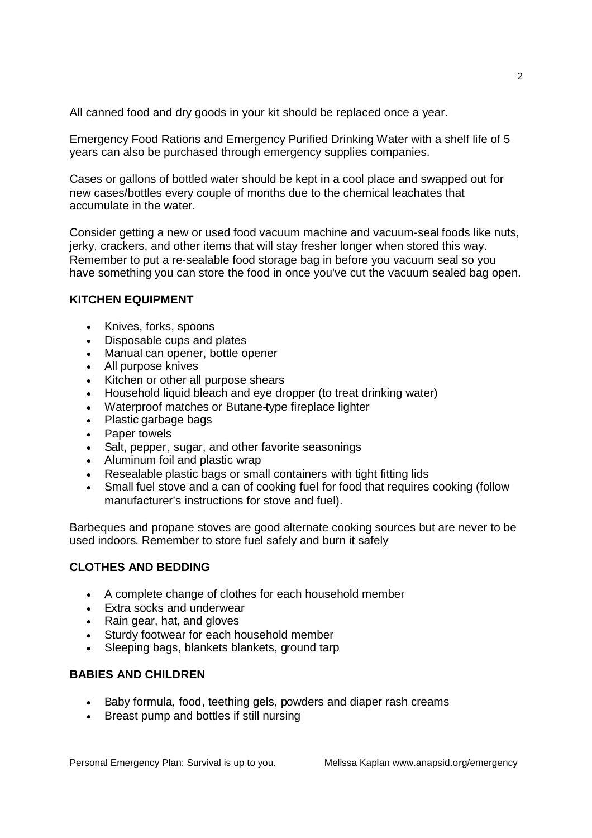All canned food and dry goods in your kit should be replaced once a year.

Emergency Food Rations and Emergency Purified Drinking Water with a shelf life of 5 years can also be purchased through emergency supplies companies.

Cases or gallons of bottled water should be kept in a cool place and swapped out for new cases/bottles every couple of months due to the chemical leachates that accumulate in the water.

Consider getting a new or used food vacuum machine and vacuum-seal foods like nuts, jerky, crackers, and other items that will stay fresher longer when stored this way. Remember to put a re-sealable food storage bag in before you vacuum seal so you have something you can store the food in once you've cut the vacuum sealed bag open.

#### **KITCHEN EQUIPMENT**

- Knives, forks, spoons
- Disposable cups and plates
- Manual can opener, bottle opener
- All purpose knives
- Kitchen or other all purpose shears
- Household liquid bleach and eye dropper (to treat drinking water)
- Waterproof matches or Butane-type fireplace lighter
- Plastic garbage bags
- Paper towels
- Salt, pepper, sugar, and other favorite seasonings
- Aluminum foil and plastic wrap
- Resealable plastic bags or small containers with tight fitting lids
- Small fuel stove and a can of cooking fuel for food that requires cooking (follow manufacturer's instructions for stove and fuel).

Barbeques and propane stoves are good alternate cooking sources but are never to be used indoors. Remember to store fuel safely and burn it safely

#### **CLOTHES AND BEDDING**

- A complete change of clothes for each household member
- Extra socks and underwear
- Rain gear, hat, and gloves
- Sturdy footwear for each household member
- Sleeping bags, blankets blankets, ground tarp

#### **BABIES AND CHILDREN**

- Baby formula, food, teething gels, powders and diaper rash creams
- Breast pump and bottles if still nursing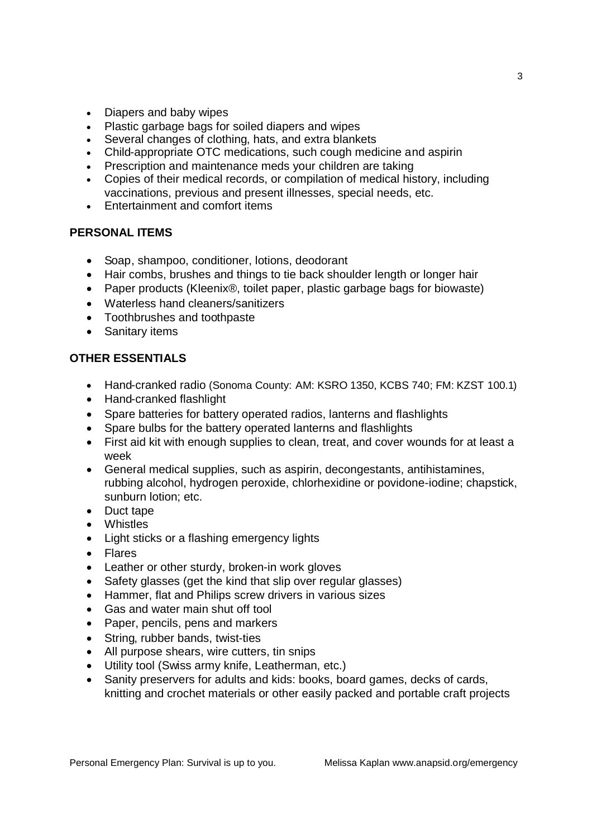- Diapers and baby wipes
- Plastic garbage bags for soiled diapers and wipes
- Several changes of clothing, hats, and extra blankets
- Child-appropriate OTC medications, such cough medicine and aspirin
- Prescription and maintenance meds your children are taking
- Copies of their medical records, or compilation of medical history, including vaccinations, previous and present illnesses, special needs, etc.
- Entertainment and comfort items

#### **PERSONAL ITEMS**

- Soap, shampoo, conditioner, lotions, deodorant
- Hair combs, brushes and things to tie back shoulder length or longer hair
- Paper products (Kleenix®, toilet paper, plastic garbage bags for biowaste)
- Waterless hand cleaners/sanitizers
- Toothbrushes and toothpaste
- Sanitary items

#### **OTHER ESSENTIALS**

- Hand-cranked radio (Sonoma County: AM: KSRO 1350, KCBS 740; FM: KZST 100.1)
- Hand-cranked flashlight
- Spare batteries for battery operated radios, lanterns and flashlights
- Spare bulbs for the battery operated lanterns and flashlights
- First aid kit with enough supplies to clean, treat, and cover wounds for at least a week
- General medical supplies, such as aspirin, decongestants, antihistamines, rubbing alcohol, hydrogen peroxide, chlorhexidine or povidone-iodine; chapstick, sunburn lotion; etc.
- Duct tape
- Whistles
- Light sticks or a flashing emergency lights
- Flares
- Leather or other sturdy, broken-in work gloves
- Safety glasses (get the kind that slip over regular glasses)
- Hammer, flat and Philips screw drivers in various sizes
- Gas and water main shut off tool
- Paper, pencils, pens and markers
- String, rubber bands, twist-ties
- All purpose shears, wire cutters, tin snips
- Utility tool (Swiss army knife, Leatherman, etc.)
- Sanity preservers for adults and kids: books, board games, decks of cards, knitting and crochet materials or other easily packed and portable craft projects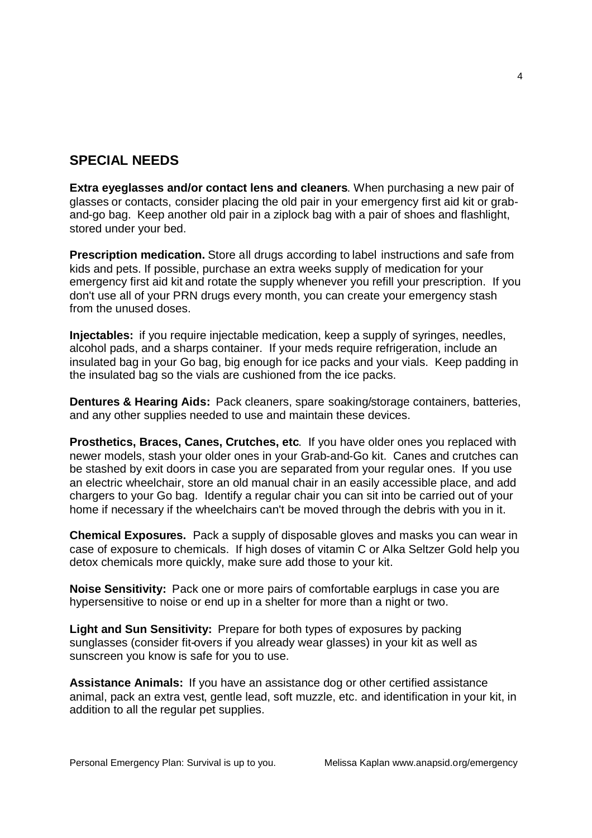## **SPECIAL NEEDS**

**Extra eyeglasses and/or contact lens and cleaners**. When purchasing a new pair of glasses or contacts, consider placing the old pair in your emergency first aid kit or graband-go bag. Keep another old pair in a ziplock bag with a pair of shoes and flashlight, stored under your bed.

**Prescription medication.** Store all drugs according to label instructions and safe from kids and pets. If possible, purchase an extra weeks supply of medication for your emergency first aid kit and rotate the supply whenever you refill your prescription. If you don't use all of your PRN drugs every month, you can create your emergency stash from the unused doses.

**Injectables:** if you require injectable medication, keep a supply of syringes, needles, alcohol pads, and a sharps container. If your meds require refrigeration, include an insulated bag in your Go bag, big enough for ice packs and your vials. Keep padding in the insulated bag so the vials are cushioned from the ice packs.

**Dentures & Hearing Aids:** Pack cleaners, spare soaking/storage containers, batteries, and any other supplies needed to use and maintain these devices.

**Prosthetics, Braces, Canes, Crutches, etc**. If you have older ones you replaced with newer models, stash your older ones in your Grab-and-Go kit. Canes and crutches can be stashed by exit doors in case you are separated from your regular ones. If you use an electric wheelchair, store an old manual chair in an easily accessible place, and add chargers to your Go bag. Identify a regular chair you can sit into be carried out of your home if necessary if the wheelchairs can't be moved through the debris with you in it.

**Chemical Exposures.** Pack a supply of disposable gloves and masks you can wear in case of exposure to chemicals. If high doses of vitamin C or Alka Seltzer Gold help you detox chemicals more quickly, make sure add those to your kit.

**Noise Sensitivity:** Pack one or more pairs of comfortable earplugs in case you are hypersensitive to noise or end up in a shelter for more than a night or two.

**Light and Sun Sensitivity:** Prepare for both types of exposures by packing sunglasses (consider fit-overs if you already wear glasses) in your kit as well as sunscreen you know is safe for you to use.

**Assistance Animals:** If you have an assistance dog or other certified assistance animal, pack an extra vest, gentle lead, soft muzzle, etc. and identification in your kit, in addition to all the regular pet supplies.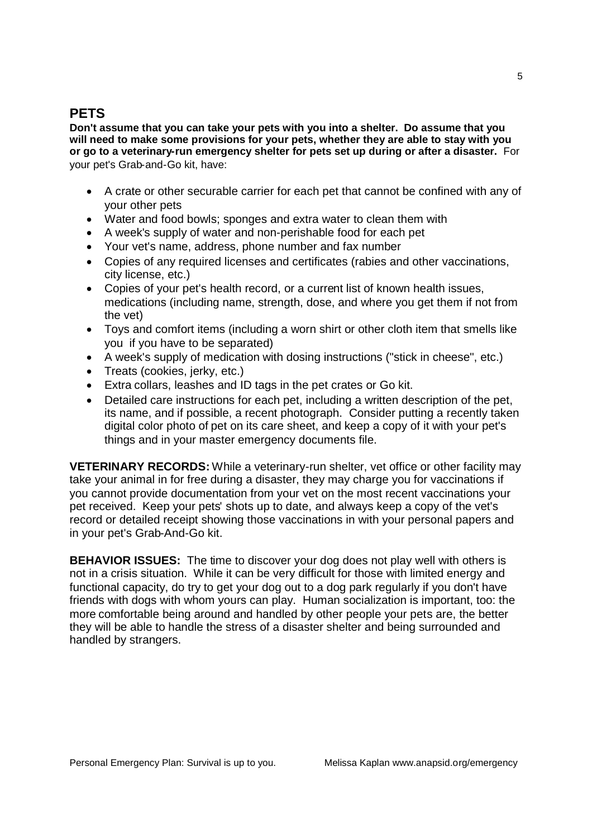### **PETS**

**Don't assume that you can take your pets with you into a shelter. Do assume that you will need to make some provisions for your pets, whether they are able to stay with you or go to a veterinary-run emergency shelter for pets set up during or after a disaster.** For your pet's Grab-and-Go kit, have:

- A crate or other securable carrier for each pet that cannot be confined with any of your other pets
- Water and food bowls; sponges and extra water to clean them with
- A week's supply of water and non-perishable food for each pet
- Your vet's name, address, phone number and fax number
- Copies of any required licenses and certificates (rabies and other vaccinations, city license, etc.)
- Copies of your pet's health record, or a current list of known health issues, medications (including name, strength, dose, and where you get them if not from the vet)
- Toys and comfort items (including a worn shirt or other cloth item that smells like you if you have to be separated)
- A week's supply of medication with dosing instructions ("stick in cheese", etc.)
- Treats (cookies, jerky, etc.)
- Extra collars, leashes and ID tags in the pet crates or Go kit.
- Detailed care instructions for each pet, including a written description of the pet, its name, and if possible, a recent photograph. Consider putting a recently taken digital color photo of pet on its care sheet, and keep a copy of it with your pet's things and in your master emergency documents file.

**VETERINARY RECORDS:** While a veterinary-run shelter, vet office or other facility may take your animal in for free during a disaster, they may charge you for vaccinations if you cannot provide documentation from your vet on the most recent vaccinations your pet received. Keep your pets' shots up to date, and always keep a copy of the vet's record or detailed receipt showing those vaccinations in with your personal papers and in your pet's Grab-And-Go kit.

**BEHAVIOR ISSUES:** The time to discover your dog does not play well with others is not in a crisis situation. While it can be very difficult for those with limited energy and functional capacity, do try to get your dog out to a dog park regularly if you don't have friends with dogs with whom yours can play. Human socialization is important, too: the more comfortable being around and handled by other people your pets are, the better they will be able to handle the stress of a disaster shelter and being surrounded and handled by strangers.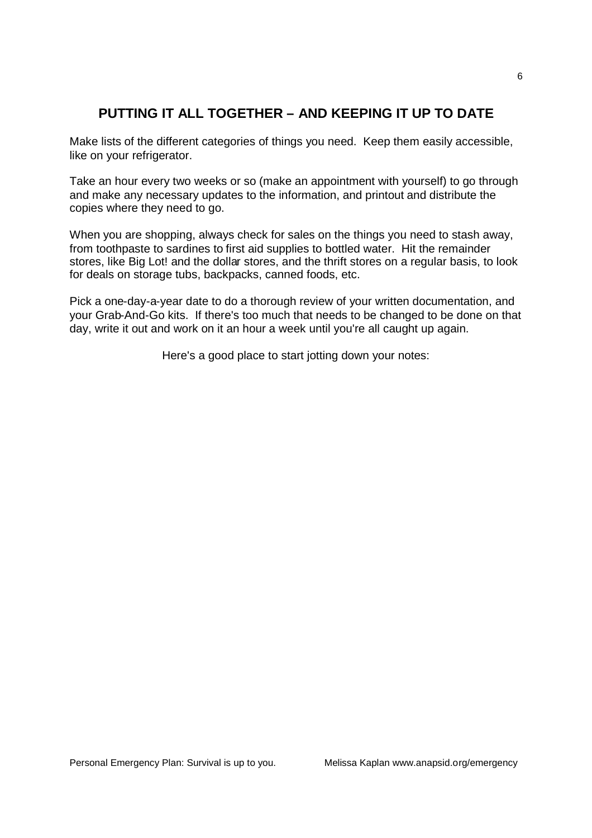# **PUTTING IT ALL TOGETHER – AND KEEPING IT UP TO DATE**

Make lists of the different categories of things you need. Keep them easily accessible, like on your refrigerator.

Take an hour every two weeks or so (make an appointment with yourself) to go through and make any necessary updates to the information, and printout and distribute the copies where they need to go.

When you are shopping, always check for sales on the things you need to stash away, from toothpaste to sardines to first aid supplies to bottled water. Hit the remainder stores, like Big Lot! and the dollar stores, and the thrift stores on a regular basis, to look for deals on storage tubs, backpacks, canned foods, etc.

Pick a one-day-a-year date to do a thorough review of your written documentation, and your Grab-And-Go kits. If there's too much that needs to be changed to be done on that day, write it out and work on it an hour a week until you're all caught up again.

Here's a good place to start jotting down your notes: